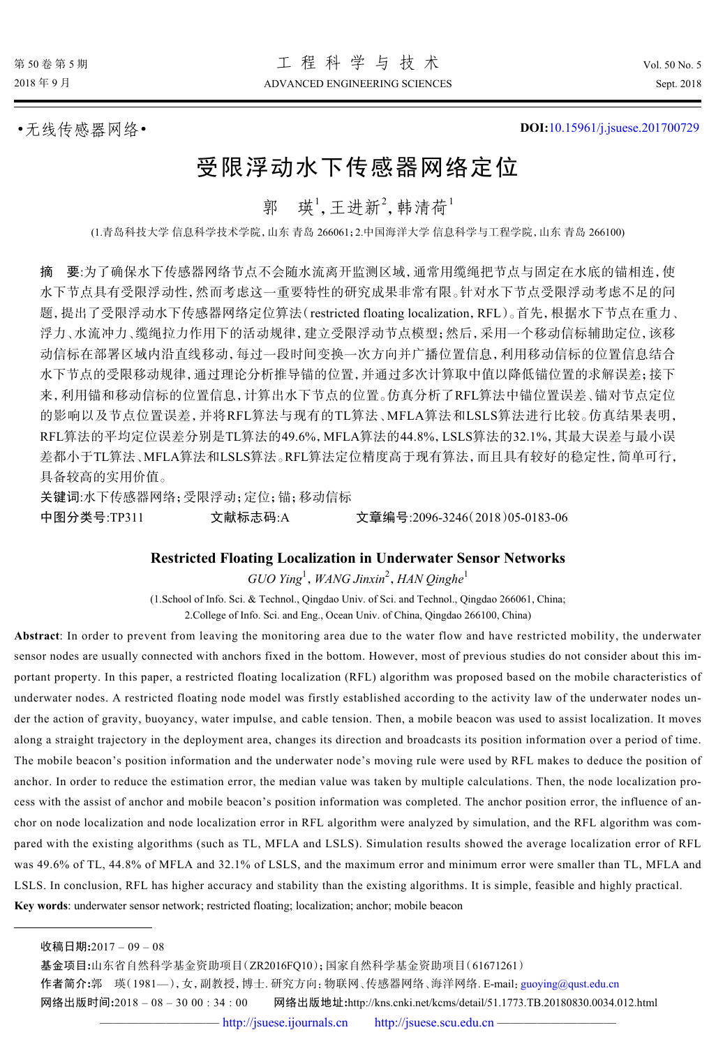•无线传感器网络• **DOI:**[10.15961/j.jsuese.201700729](http://dx.doi.org/10.15961/j.jsuese.201700729)

# 受限浮动水下传感器网络定位

郭 瑛<sup>1</sup>,王进新<sup>2</sup>,韩清荷1

(1.青岛科技大学 信息科学技术学院,山东 青岛 266061;2.中国海洋大学 信息科学与工程学院,山东 青岛 266100)

摘 要:为了确保水下传感器网络节点不会随水流离开监测区域,通常用缆绳把节点与固定在水底的锚相连,使 水下节点具有受限浮动性,然而考虑这一重要特性的研究成果非常有限。针对水下节点受限浮动考虑不足的问 题,提出了受限浮动水下传感器网络定位算法(restricted floating localization,RFL)。首先,根据水下节点在重力、 浮力、水流冲力、缆绳拉力作用下的活动规律,建立受限浮动节点模型;然后,采用一个移动信标辅助定位,该移 动信标在部署区域内沿直线移动,每过一段时间变换一次方向并广播位置信息,利用移动信标的位置信息结合 水下节点的受限移动规律,通过理论分析推导锚的位置,并通过多次计算取中值以降低锚位置的求解误差;接下 来,利用锚和移动信标的位置信息,计算出水下节点的位置。仿真分析了RFL算法中锚位置误差、锚对节点定位 的影响以及节点位置误差,并将RFL算法与现有的TL算法、MFLA算法和LSLS算法进行比较。仿真结果表明, RFL算法的平均定位误差分别是TL算法的49.6%,MFLA算法的44.8%,LSLS算法的32.1%,其最大误差与最小误 差都小于TL算法、MFLA算法和LSLS算法。RFL算法定位精度高于现有算法,而且具有较好的稳定性,简单可行, 具备较高的实用价值。

关键词:水下传感器网络;受限浮动;定位;锚;移动信标 中图分类号:TP311 文献标志码:A 文章编号:2096-3246(2018)05-0183-06

#### **Restricted Floating Localization in Underwater Sensor Networks**

*GUO Ying*<sup>1</sup> ,*WANG Jinxin*<sup>2</sup> ,*HAN Qinghe*<sup>1</sup>

(1.School of Info. Sci. & Technol., Qingdao Univ. of Sci. and Technol., Qingdao 266061, China; 2.College of Info. Sci. and Eng., Ocean Univ. of China, Qingdao 266100, China)

**Abstract**: In order to prevent from leaving the monitoring area due to the water flow and have restricted mobility, the underwater sensor nodes are usually connected with anchors fixed in the bottom. However, most of previous studies do not consider about this important property. In this paper, a restricted floating localization (RFL) algorithm was proposed based on the mobile characteristics of underwater nodes. A restricted floating node model was firstly established according to the activity law of the underwater nodes under the action of gravity, buoyancy, water impulse, and cable tension. Then, a mobile beacon was used to assist localization. It moves along a straight trajectory in the deployment area, changes its direction and broadcasts its position information over a period of time. The mobile beacon's position information and the underwater node's moving rule were used by RFL makes to deduce the position of anchor. In order to reduce the estimation error, the median value was taken by multiple calculations. Then, the node localization process with the assist of anchor and mobile beacon's position information was completed. The anchor position error, the influence of anchor on node localization and node localization error in RFL algorithm were analyzed by simulation, and the RFL algorithm was compared with the existing algorithms (such as TL, MFLA and LSLS). Simulation results showed the average localization error of RFL was 49.6% of TL, 44.8% of MFLA and 32.1% of LSLS, and the maximum error and minimum error were smaller than TL, MFLA and LSLS. In conclusion, RFL has higher accuracy and stability than the existing algorithms. It is simple, feasible and highly practical. **Key words**: underwater sensor network; restricted floating; localization; anchor; mobile beacon

基金项目**:**山东省自然科学基金资助项目(ZR2016FQ10);国家自然科学基金资助项目(61671261) 作者简介**:**郭 瑛(1981—),女,副教授,博士. 研究方向:物联网、传感器网络、海洋网络. E-mail:[guoying@qust.edu.cn](mailto:guoying@qust.edu.cn) 网络出版时间**:**2018 – 08 – 30 00 : 34 : 00 网络出版地址**:**http://kns.cnki.net/kcms/detail/51.1773.TB.20180830.0034.012.html

收稿日期**:**2017 – 09 – 08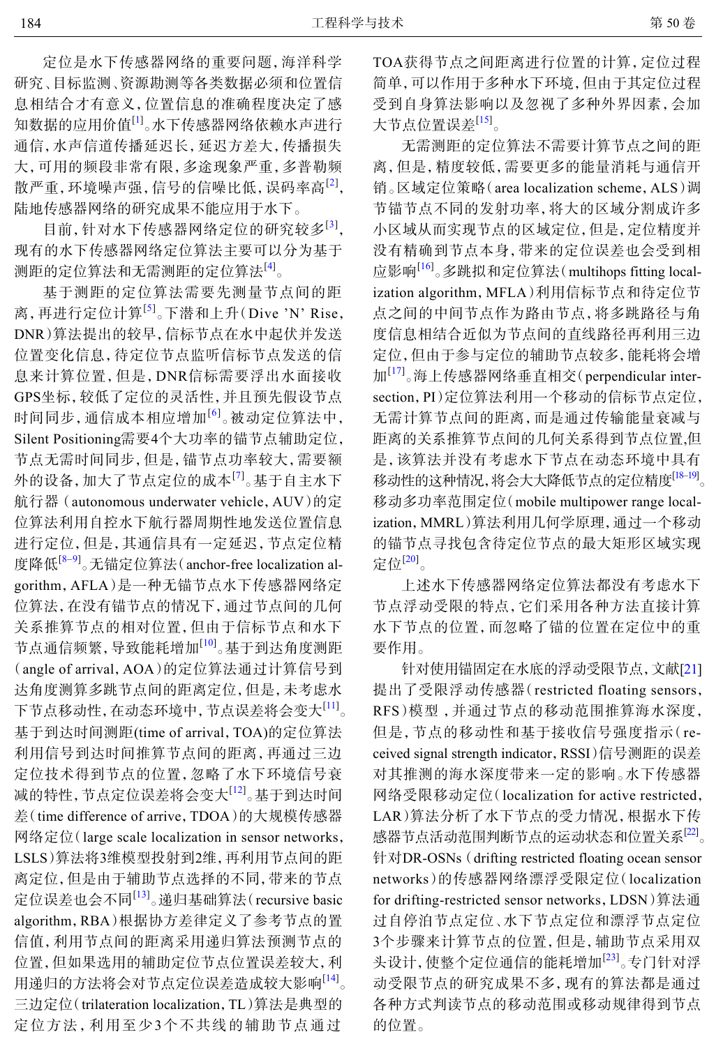定位是水下传感器网络的重要问题,海洋科学 研究、目标监测、资源勘测等各类数据必须和位置信 息相结合才有意义,位置信息的准确程度决定了感 知数据的应用价值<sup>[[1](#page-5-0)]</sup>。水下传感器网络依赖水声进行 通信,水声信道传播延迟长,延迟方差大,传播损失 大,可用的频段非常有限,多途现象严重,多普勒频 散严重,环境噪声强,信号的信噪比低,误码率高[[2\]](#page-5-1) , 陆地传感器网络的研究成果不能应用于水下。

目前,针对水下传感器网络定位的研究较多[[3](#page-5-2)] , 现有的水下传感器网络定位算法主要可以分为基于 测距的定位算法和无需测距的定位算法<sup>[\[4\]](#page-5-3)</sup>。

基于测距的定位算法需要先测量节点间的距 离,再进行定位计算<sup>[[5\]](#page-5-4)</sup>。下潜和上升(Dive 'N' Rise, DNR)算法提出的较早,信标节点在水中起伏并发送 位置变化信息,待定位节点监听信标节点发送的信 息来计算位置,但是,DNR信标需要浮出水面接收 GPS坐标,较低了定位的灵活性,并且预先假设节点 时间同步, 通信成本相应增加<sup>[[6](#page-5-5)]</sup>。被动定位算法中, Silent Positioning需要4个大功率的锚节点辅助定位, 节点无需时间同步,但是,锚节点功率较大,需要额 外的设备,加大了节点定位的成本<sup>[\[7\]](#page-5-6)</sup>。基于自主水下 航行器 (autonomous underwater vehicle,AUV)的定 位算法利用自控水下航行器周期性地发送位置信息 进行定位,但是,其通信具有一定延迟,节点定位精 度降低<sup>[\[8](#page-5-7)–[9](#page-5-8)]</sup>。无锚定位算法(anchor-free localization algorithm,AFLA)是一种无锚节点水下传感器网络定 位算法,在没有锚节点的情况下,通过节点间的几何 关系推算节点的相对位置,但由于信标节点和水下 节点通信频繁,导致能耗增加<sup>[\[10](#page-5-9)]</sup>。基于到达角度测距 (angle of arrival,AOA)的定位算法通过计算信号到 达角度测算多跳节点间的距离定位,但是,未考虑水 下节点移动性,在动态环境中,节点误差将会变大[[11](#page-5-10)] 。 基于到达时间测距(time of arrival,TOA)的定位算法 利用信号到达时间推算节点间的距离,再通过三边 定位技术得到节点的位置,忽略了水下环境信号衰 减的特性,节点定位误差将会变大<sup>[[12](#page-5-11)]</sup>。基于到达时间 差(time difference of arrive,TDOA)的大规模传感器 网络定位(large scale localization in sensor networks, LSLS)算法将3维模型投射到2维,再利用节点间的距 离定位,但是由于辅助节点选择的不同,带来的节点 定位误差也会不同<sup>[[13\]](#page-5-12)</sup>。递归基础算法(recursive basic algorithm,RBA)根据协方差律定义了参考节点的置 信值,利用节点间的距离采用递归算法预测节点的 位置,但如果选用的辅助定位节点位置误差较大,利 用递归的方法将会对节点定位误差造成较大影响<sup>[14]</sup>。 三边定位(trilateration localization,TL)算法是典型的 定位方法,利用至少3个不共线的辅助节点通过

TOA获得节点之间距离进行位置的计算,定位过程 简单,可以作用于多种水下环境,但由于其定位过程 受到自身算法影响以及忽视了多种外界因素,会加 大节点位置误差<sup>[15]</sup>。

无需测距的定位算法不需要计算节点之间的距 离,但是,精度较低,需要更多的能量消耗与通信开 销。区域定位策略(area localization scheme,ALS)调 节锚节点不同的发射功率,将大的区域分割成许多 小区域从而实现节点的区域定位,但是,定位精度并 没有精确到节点本身,带来的定位误差也会受到相 应影响[16] 。多跳拟和定位算法(multihops fitting localization algorithm, MFLA)利用信标节点和待定位节 点之间的中间节点作为路由节点,将多跳路径与角 度信息相结合近似为节点间的直线路径再利用三边 定位,但由于参与定位的辅助节点较多,能耗将会增 加<sup>[17]</sup>。海上传感器网络垂直相交(perpendicular intersection,PI)定位算法利用一个移动的信标节点定位, 无需计算节点间的距离,而是通过传输能量衰减与 距离的关系推算节点间的几何关系得到节点位置,但 是,该算法并没有考虑水下节点在动态环境中具有 移动性的这种情况,将会大大降低节点的定位精度<sup>[18–19]</sup>。 移动多功率范围定位(mobile multipower range localization,MMRL)算法利用几何学原理,通过一个移动 的锚节点寻找包含待定位节点的最大矩形区域实现 定位[20] 。

上述水下传感器网络定位算法都没有考虑水下 节点浮动受限的特点,它们采用各种方法直接计算 水下节点的位置,而忽略了锚的位置在定位中的重 要作用。

针对使用锚固定在水底的浮动受限节点,文献[21] 提出了受限浮动传感器(restricted floating sensors, RFS)模型 ,并通过节点的移动范围推算海水深度, 但是,节点的移动性和基于接收信号强度指示(received signal strength indicator,RSSI)信号测距的误差 对其推测的海水深度带来一定的影响。水下传感器 网络受限移动定位(localization for active restricted, LAR)算法分析了水下节点的受力情况,根据水下传 感器节点活动范围判断节点的运动状态和位置关系<sup>[22]</sup>。 针对DR-OSNs (drifting restricted floating ocean sensor networks)的传感器网络漂浮受限定位(localization for drifting-restricted sensor networks,LDSN)算法通 过自停泊节点定位、水下节点定位和漂浮节点定位 3个步骤来计算节点的位置,但是,辅助节点采用双 头设计, 使整个定位通信的能耗增加<sup>[23]</sup>。专门针对浮 动受限节点的研究成果不多,现有的算法都是通过 各种方式判读节点的移动范围或移动规律得到节点 的位置。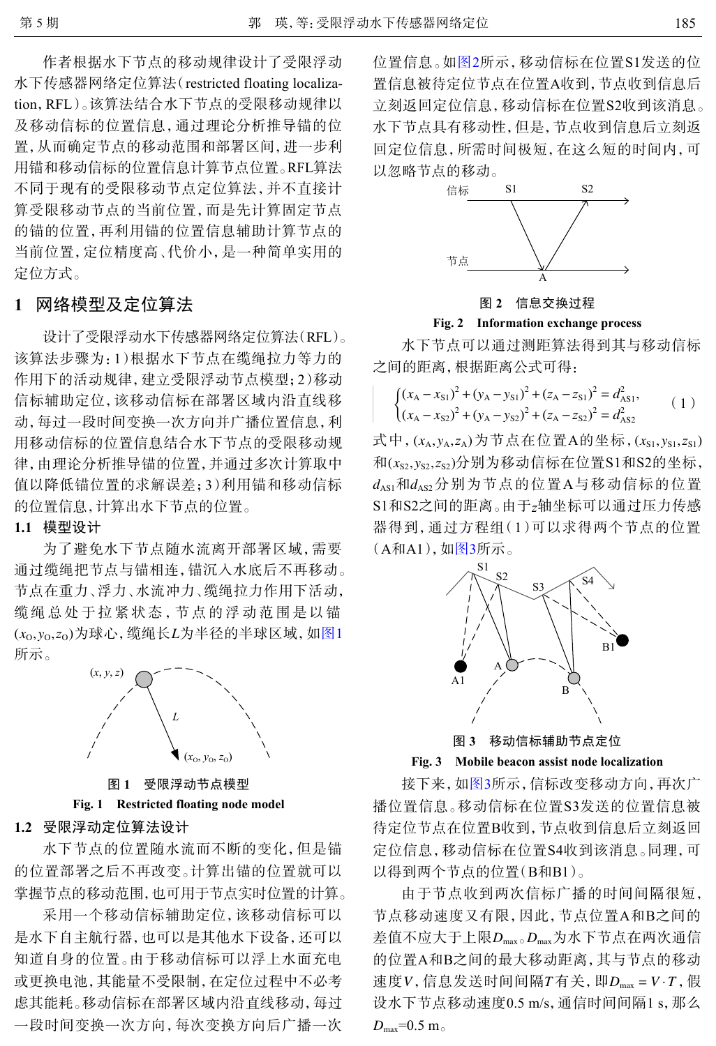作者根据水下节点的移动规律设计了受限浮动 水下传感器网络定位算法(restricted floating localization,RFL)。该算法结合水下节点的受限移动规律以 及移动信标的位置信息,通过理论分析推导锚的位 置,从而确定节点的移动范围和部署区间,进一步利 用锚和移动信标的位置信息计算节点位置。RFL算法 不同于现有的受限移动节点定位算法,并不直接计 算受限移动节点的当前位置,而是先计算固定节点 的锚的位置,再利用锚的位置信息辅助计算节点的 当前位置,定位精度高、代价小,是一种简单实用的 定位方式。

#### **1** 网络模型及定位算法

设计了受限浮动水下传感器网络定位算法(RFL)。 该算法步骤为:1)根据水下节点在缆绳拉力等力的 作用下的活动规律,建立受限浮动节点模型;2)移动 信标辅助定位,该移动信标在部署区域内沿直线移 动,每过一段时间变换一次方向并广播位置信息,利 用移动信标的位置信息结合水下节点的受限移动规 律,由理论分析推导锚的位置,并通过多次计算取中 值以降低锚位置的求解误差;3)利用锚和移动信标 的位置信息,计算出水下节点的位置。

### **1.1** 模型设计

(*x*<sub>0</sub>, *y*<sub>0</sub>, *z*<sub>0</sub>)为球心, 缆绳长*L*为半径的半球区域, 如[图](#page-2-0)[1](#page-2-0) 为了避免水下节点随水流离开部署区域,需要 通过缆绳把节点与锚相连,锚沉入水底后不再移动。 节点在重力、浮力、水流冲力、缆绳拉力作用下活动, 缆绳总处于拉紧状态,节点的浮动范围是以锚 所示。

<span id="page-2-0"></span>

图 **1** 受限浮动节点模型 **Fig. 1 Restricted floating node model**

## **1.2** 受限浮动定位算法设计

水下节点的位置随水流而不断的变化,但是锚 的位置部署之后不再改变。计算出锚的位置就可以 掌握节点的移动范围,也可用于节点实时位置的计算。

采用一个移动信标辅助定位,该移动信标可以 是水下自主航行器,也可以是其他水下设备,还可以 知道自身的位置。由于移动信标可以浮上水面充电 或更换电池,其能量不受限制,在定位过程中不必考 虑其能耗。移动信标在部署区域内沿直线移动,每过 一段时间变换一次方向,每次变换方向后广播一次 位置信息。如[图](#page-2-1)[2](#page-2-1)所示,移动信标在位置S1发送的位 置信息被待定位节点在位置A收到,节点收到信息后 立刻返回定位信息,移动信标在位置S2收到该消息。 水下节点具有移动性,但是,节点收到信息后立刻返 回定位信息,所需时间极短,在这么短的时间内,可 以忽略节点的移动。

<span id="page-2-1"></span>



#### **Fig. 2 Information exchange process**

水下节点可以通过测距算法得到其与移动信标 之间的距离,根据距离公式可得:

$$
\begin{cases} (x_A - x_{S1})^2 + (y_A - y_{S1})^2 + (z_A - z_{S1})^2 = d_{AS1}^2, \\ (x_A - x_{S2})^2 + (y_A - y_{S2})^2 + (z_A - z_{S2})^2 = d_{AS2}^2 \end{cases}
$$
 (1)

式中,  $(x_A, y_A, z_A)$ 为节点在位置A的坐标,  $(x_{S1}, y_{S1}, z_{S1})$ 和(*x<sub>s2</sub>,y<sub>s2</sub>,z<sub>s2</sub>)*分别为移动信标在位置S1和S2的坐标,  $d_{\rm AS1}$ 和 $d_{\rm AS2}$ 分别为节点的位置A与移动信标的位置 S1和S2之间的距离。由于z轴坐标可以通过压力传感 器得到,通过方程组(1)可以求得两个节点的位置 (A和A1),如[图](#page-2-2)[3](#page-2-2)所示。

<span id="page-2-2"></span>

图 **3** 移动信标辅助节点定位

**Fig. 3 Mobile beacon assist node localization**

接下来,如[图](#page-2-2)[3](#page-2-2)所示,信标改变移动方向,再次广 播位置信息。移动信标在位置S3发送的位置信息被 待定位节点在位置B收到,节点收到信息后立刻返回 定位信息,移动信标在位置S4收到该消息。同理,可 以得到两个节点的位置(B和B1)。

差值不应大于上限D<sub>max。</sub>D<sub>max</sub>为水下节点在两次通信 速度 $V$ , 信息发送时间间隔 $T$ 有关, 即 $D_{\text{max}} = V \cdot T$ , 假  $D_{\rm max}$ =0.5 m<sub>o</sub> 由于节点收到两次信标广播的时间间隔很短, 节点移动速度又有限,因此,节点位置A和B之间的 的位置A和B之间的最大移动距离,其与节点的移动 设水下节点移动速度0.5 m/s,通信时间间隔1 s,那么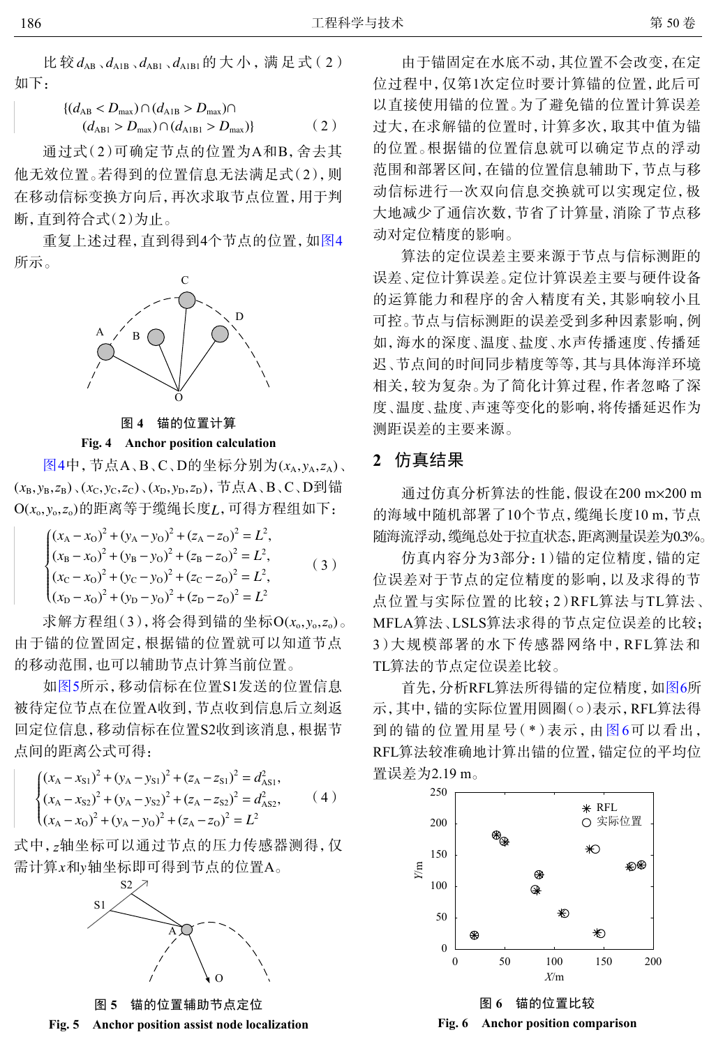比较 $d_{AB}$ 、 $d_{AB}$ 、 $d_{AB1}$ 、 $d_{A1B1}$ 的大小, 满足式(2) 如下:

$$
\begin{aligned} \left\{ (d_{\text{AB}} &< D_{\text{max}}) \cap (d_{\text{AIB}} > D_{\text{max}}) \cap \\ (d_{\text{AB1}} > D_{\text{max}}) \cap (d_{\text{AIB1}} > D_{\text{max}}) \right\} \end{aligned} \tag{2}
$$

通过式(2)可确定节点的位置为A和B,舍去其 他无效位置。若得到的位置信息无法满足式(2),则 在移动信标变换方向后,再次求取节点位置,用于判 断,直到符合式(2)为止。

<span id="page-3-0"></span>重复上述过程,直到得到4个节点的位置,如[图](#page-3-0)[4](#page-3-0) 所示。



图 **4** 锚的位置计算

**Fig. 4 Anchor position calculation**

[图](#page-3-0)[4](#page-3-0)中, 节点A、B、C、D的坐标分别为(x<sub>A</sub>,y<sub>A</sub>,z<sub>A</sub>)、  $(x_B, y_B, z_B)$ 、( $x_C, y_C, z_C$ )、( $x_D, y_D, z_D$ ),节点A、B、C、D到锚 O(*x*<sub>o</sub>,y<sub>o</sub>,z<sub>o</sub>)的距离等于缆绳长度*L*,可得方程组如下:

$$
\begin{cases}\n(x_{A} - x_{O})^{2} + (y_{A} - y_{O})^{2} + (z_{A} - z_{O})^{2} = L^{2}, \n(x_{B} - x_{O})^{2} + (y_{B} - y_{O})^{2} + (z_{B} - z_{O})^{2} = L^{2}, \n(x_{C} - x_{O})^{2} + (y_{C} - y_{O})^{2} + (z_{C} - z_{O})^{2} = L^{2}, \n(x_{D} - x_{O})^{2} + (y_{D} - y_{O})^{2} + (z_{D} - z_{O})^{2} = L^{2}\n\end{cases}
$$
\n(3)

求解方程组(3),将会得到锚的坐标O(*x*<sub>o</sub>,y<sub>o</sub>,z<sub>o</sub>)。 由于锚的位置固定,根据锚的位置就可以知道节点 的移动范围,也可以辅助节点计算当前位置。

如[图](#page-3-1)[5](#page-3-1)所示,移动信标在位置S1发送的位置信息 被待定位节点在位置A收到,节点收到信息后立刻返 回定位信息,移动信标在位置S2收到该消息,根据节 点间的距离公式可得:

$$
\begin{cases}\n(x_{A} - x_{S1})^{2} + (y_{A} - y_{S1})^{2} + (z_{A} - z_{S1})^{2} = d_{ASI}^{2}, \\
(x_{A} - x_{S2})^{2} + (y_{A} - y_{S2})^{2} + (z_{A} - z_{S2})^{2} = d_{AS2}^{2}, \\
(x_{A} - x_{O})^{2} + (y_{A} - y_{O})^{2} + (z_{A} - z_{O})^{2} = L^{2}\n\end{cases}
$$
\n(4)

<span id="page-3-1"></span>式中, z轴坐标可以通过节点的压力传感器测得, 仅 需计算*x*和y轴坐标即可得到节点的位置A。



图 **5** 锚的位置辅助节点定位

由于锚固定在水底不动,其位置不会改变,在定 位过程中,仅第1次定位时要计算锚的位置,此后可 以直接使用锚的位置。为了避免锚的位置计算误差 过大,在求解锚的位置时,计算多次,取其中值为锚 的位置。根据锚的位置信息就可以确定节点的浮动 范围和部署区间,在锚的位置信息辅助下,节点与移 动信标进行一次双向信息交换就可以实现定位,极 大地减少了通信次数,节省了计算量,消除了节点移 动对定位精度的影响。

算法的定位误差主要来源于节点与信标测距的 误差、定位计算误差。定位计算误差主要与硬件设备 的运算能力和程序的舍入精度有关,其影响较小且 可控。节点与信标测距的误差受到多种因素影响,例 如,海水的深度、温度、盐度、水声传播速度、传播延 迟、节点间的时间同步精度等等,其与具体海洋环境 相关,较为复杂。为了简化计算过程,作者忽略了深 度、温度、盐度、声速等变化的影响, 将传播延迟作为 测距误差的主要来源。

## **2** 仿真结果

通过仿真分析算法的性能,假设在200 m × 200 m 的海域中随机部署了10个节点,缆绳长度10 m,节点 随海流浮动,缆绳总处于拉直状态,距离测量误差为0.3%。

仿真内容分为3部分:1)锚的定位精度,锚的定 位误差对于节点的定位精度的影响,以及求得的节 点位置与实际位置的比较;2)RFL算法与TL算法、 MFLA算法、LSLS算法求得的节点定位误差的比较; 3)大规模部署的水下传感器网络中,RFL算法和 TL算法的节点定位误差比较。

<span id="page-3-2"></span>首先,分析RFL算法所得锚的定位精度,如[图](#page-3-2)[6](#page-3-2)所 示,其中,锚的实际位置用圆圈(○)表示,RFL算法得 到的锚的位置用星号( \*)表示,由[图](#page-3-2)[6](#page-3-2)可以看出, RFL算法较准确地计算出锚的位置,锚定位的平均位 置误差为2.19 m。



图 **6** 锚的位置比较 **Fig. 6 Anchor position comparison**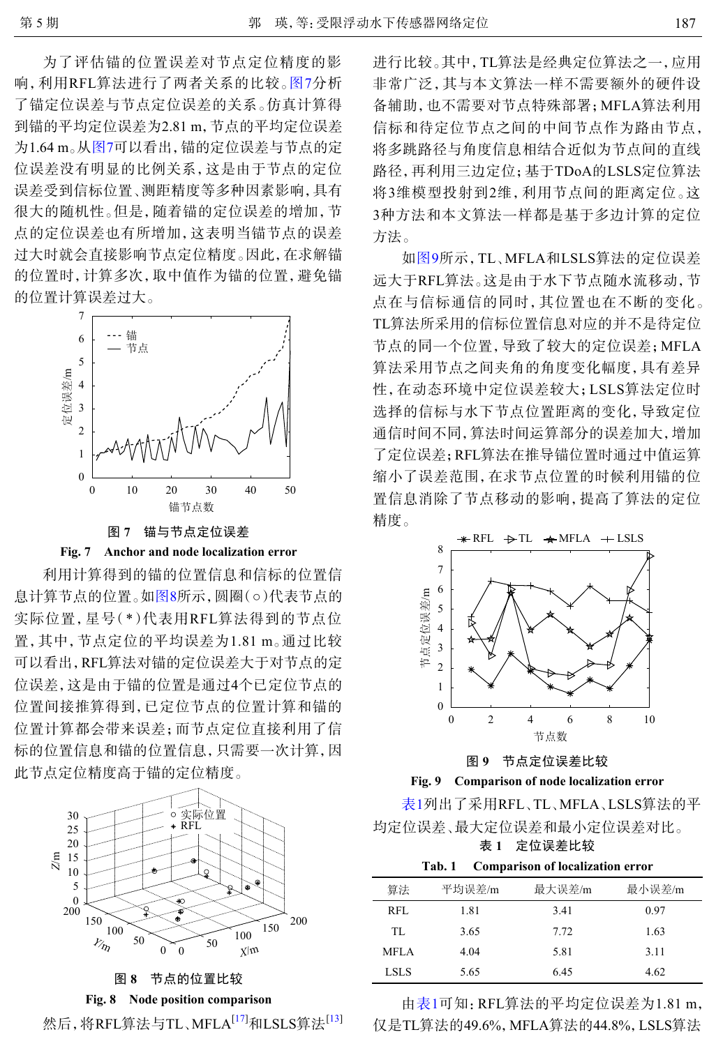为了评估锚的位置误差对节点定位精度的影 响,利用RFL算法进行了两者关系的比较。[图](#page-4-0)[7](#page-4-0)分析 了锚定位误差与节点定位误差的关系。仿真计算得 到锚的平均定位误差为2.81 m,节点的平均定位误差 为1.64 m。[从图](#page-4-0)[7](#page-4-0)可以看出,锚的定位误差与节点的定 位误差没有明显的比例关系,这是由于节点的定位 误差受到信标位置、测距精度等多种因素影响,具有 很大的随机性。但是,随着锚的定位误差的增加,节 点的定位误差也有所增加,这表明当锚节点的误差 过大时就会直接影响节点定位精度。因此,在求解锚 的位置时,计算多次,取中值作为锚的位置,避免锚 的位置计算误差过大。

<span id="page-4-0"></span>

图 **7** 锚与节点定位误差

**Fig. 7 Anchor and node localization error**

利用计算得到的锚的位置信息和信标的位置信 息计算节点的位置。如[图](#page-4-1)[8](#page-4-1)所示,圆圈(○)代表节点的 实际位置,星号(\*)代表用RFL算法得到的节点位 置,其中,节点定位的平均误差为1.81 m。通过比较 可以看出,RFL算法对锚的定位误差大于对节点的定 位误差,这是由于锚的位置是通过4个已定位节点的 位置间接推算得到,已定位节点的位置计算和锚的 位置计算都会带来误差;而节点定位直接利用了信 标的位置信息和锚的位置信息,只需要一次计算,因 此节点定位精度高于锚的定位精度。

<span id="page-4-1"></span>

## 图 **8** 节点的位置比较

**Fig. 8 Node position comparison**



进行比较。其中,TL算法是经典定位算法之一,应用 非常广泛,其与本文算法一样不需要额外的硬件设 备辅助,也不需要对节点特殊部署;MFLA算法利用 信标和待定位节点之间的中间节点作为路由节点, 将多跳路径与角度信息相结合近似为节点间的直线 路径,再利用三边定位;基于TDoA的LSLS定位算法 将3维模型投射到2维,利用节点间的距离定位。这 3种方法和本文算法一样都是基于多边计算的定位 方法。

如[图](#page-4-2)[9](#page-4-2)所示,TL、MFLA和LSLS算法的定位误差 远大于RFL算法。这是由于水下节点随水流移动,节 点在与信标通信的同时,其位置也在不断的变化。 TL算法所采用的信标位置信息对应的并不是待定位 节点的同一个位置,导致了较大的定位误差;MFLA 算法采用节点之间夹角的角度变化幅度,具有差异 性,在动态环境中定位误差较大;LSLS算法定位时 选择的信标与水下节点位置距离的变化,导致定位 通信时间不同,算法时间运算部分的误差加大,增加 了定位误差;RFL算法在推导锚位置时通过中值运算 缩小了误差范围,在求节点位置的时候利用锚的位 置信息消除了节点移动的影响,提高了算法的定位 精度。

<span id="page-4-2"></span>

图 **9** 节点定位误差比较

**Fig. 9 Comparison of node localization error**

表1列出了采用RFL、TL、MFLA、LSLS算法的平 均定位误差、最大定位误差和最小定位误差对比。

表 **1** 定位误差比较

**Tab. 1 Comparison of localization error**

| 算法          | 平均误差/m | 最大误差/m | 最小误差/m |
|-------------|--------|--------|--------|
| RFL         | 1.81   | 3.41   | 0.97   |
| TL.         | 3.65   | 7.72   | 1.63   |
| <b>MFLA</b> | 4.04   | 5.81   | 3.11   |
| LSLS        | 5.65   | 6.45   | 4.62   |

由表1可知:RFL算法的平均定位误差为1.81 m, 仅是TL算法的49.6%,MFLA算法的44.8%,LSLS算法